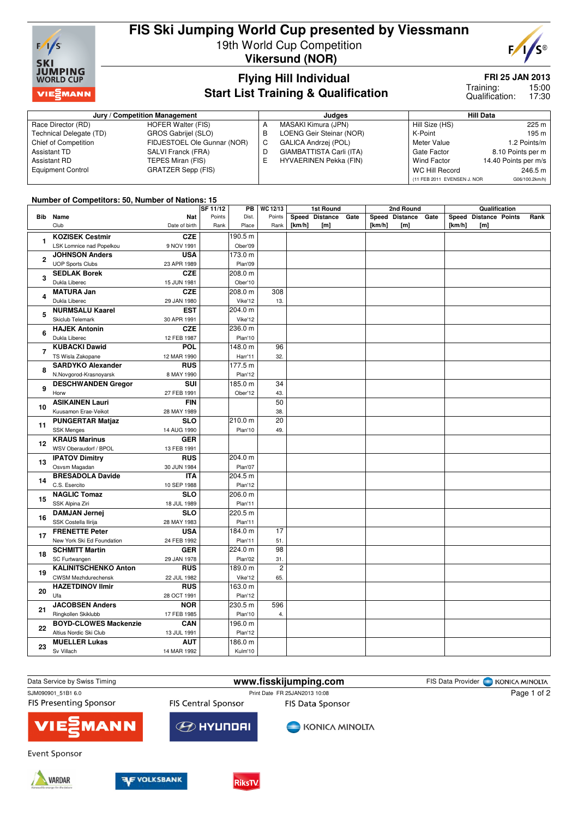

# **FIS Ski Jumping World Cup presented by Viessmann** 19th World Cup Competition

**Vikersund (NOR)**



## **Flying Hill Individual Start List Training & Qualification**

## **FRI 25 JAN 2013**

15:00 17:30 Training: Qualification:

|                          | Jury / Competition Management |   | Judges                        | <b>Hill Data</b>            |                      |  |
|--------------------------|-------------------------------|---|-------------------------------|-----------------------------|----------------------|--|
| Race Director (RD)       | HOFER Walter (FIS)            | A | MASAKI Kimura (JPN)           | Hill Size (HS)              | 225 m                |  |
| Technical Delegate (TD)  | GROS Gabrijel (SLO)           | B | LOENG Geir Steinar (NOR)      | K-Point                     | 195 m                |  |
| Chief of Competition     | FIDJESTOEL Ole Gunnar (NOR)   | C | GALICA Andrzej (POL)          | Meter Value                 | 1.2 Points/m         |  |
| Assistant TD             | SALVI Franck (FRA)            | D | GIAMBATTISTA Carli (ITA)      | Gate Factor                 | 8.10 Points per m    |  |
| <b>Assistant RD</b>      | TEPES Miran (FIS)             | E | <b>HYVAERINEN Pekka (FIN)</b> | <b>Wind Factor</b>          | 14.40 Points per m/s |  |
| <b>Equipment Control</b> | <b>GRATZER Sepp (FIS)</b>     |   |                               | WC Hill Record              | 246.5 m              |  |
|                          |                               |   |                               | (11 FEB 2011 EVENSEN J. NOR | G06/100.2km/h)       |  |

### **Number of Competitors: 50, Number of Nations: 15**

|                |                              |               | SF 11/12 | PB      | WC 12/13       |        | <b>1st Round</b>    |        | 2nd Round           |        | Qualification         |      |
|----------------|------------------------------|---------------|----------|---------|----------------|--------|---------------------|--------|---------------------|--------|-----------------------|------|
|                | <b>Bib</b> Name              | <b>Nat</b>    | Points   | Dist.   | Points         |        | Speed Distance Gate |        | Speed Distance Gate |        | Speed Distance Points | Rank |
|                | Club                         | Date of birth | Rank     | Place   | Rank           | [km/h] | [m]                 | [km/h] | [ <sub>m</sub> ]    | [km/h] | [m]                   |      |
|                | <b>KOZISEK Cestmir</b>       | <b>CZE</b>    |          | 190.5 m |                |        |                     |        |                     |        |                       |      |
| 1              | LSK Lomnice nad Popelkou     | 9 NOV 1991    |          | Ober'09 |                |        |                     |        |                     |        |                       |      |
|                | <b>JOHNSON Anders</b>        | <b>USA</b>    |          | 173.0 m |                |        |                     |        |                     |        |                       |      |
| $\mathbf{2}$   | <b>UOP Sports Clubs</b>      | 23 APR 1989   |          | Plan'09 |                |        |                     |        |                     |        |                       |      |
|                | <b>SEDLAK Borek</b>          | <b>CZE</b>    |          | 208.0 m |                |        |                     |        |                     |        |                       |      |
| 3              | Dukla Liberec                | 15 JUN 1981   |          | Ober'10 |                |        |                     |        |                     |        |                       |      |
|                | <b>MATURA Jan</b>            | <b>CZE</b>    |          | 208.0 m | 308            |        |                     |        |                     |        |                       |      |
| 4              | Dukla Liberec                | 29 JAN 1980   |          | Vike'12 | 13.            |        |                     |        |                     |        |                       |      |
|                | <b>NURMSALU Kaarel</b>       | <b>EST</b>    |          | 204.0 m |                |        |                     |        |                     |        |                       |      |
| 5              | Skiclub Telemark             | 30 APR 1991   |          | Vike'12 |                |        |                     |        |                     |        |                       |      |
|                | <b>HAJEK Antonin</b>         | <b>CZE</b>    |          | 236.0 m |                |        |                     |        |                     |        |                       |      |
| 6              | Dukla Liberec                | 12 FEB 1987   |          | Plan'10 |                |        |                     |        |                     |        |                       |      |
|                | <b>KUBACKI Dawid</b>         | POL           |          | 148.0 m | 96             |        |                     |        |                     |        |                       |      |
| $\overline{7}$ | TS Wisla Zakopane            | 12 MAR 1990   |          | Harr'11 | 32.            |        |                     |        |                     |        |                       |      |
|                | <b>SARDYKO Alexander</b>     | <b>RUS</b>    |          | 177.5 m |                |        |                     |        |                     |        |                       |      |
| 8              | N.Novgorod-Krasnoyarsk       | 8 MAY 1990    |          | Plan'12 |                |        |                     |        |                     |        |                       |      |
|                | <b>DESCHWANDEN Gregor</b>    | SUI           |          | 185.0 m | 34             |        |                     |        |                     |        |                       |      |
| 9              | Horw                         | 27 FEB 1991   |          | Ober'12 | 43.            |        |                     |        |                     |        |                       |      |
|                | <b>ASIKAINEN Lauri</b>       | <b>FIN</b>    |          |         | 50             |        |                     |        |                     |        |                       |      |
| 10             | Kuusamon Erae-Veikot         | 28 MAY 1989   |          |         | 38.            |        |                     |        |                     |        |                       |      |
|                | <b>PUNGERTAR Matjaz</b>      | <b>SLO</b>    |          | 210.0 m | 20             |        |                     |        |                     |        |                       |      |
| 11             | <b>SSK Menges</b>            | 14 AUG 1990   |          | Plan'10 | 49.            |        |                     |        |                     |        |                       |      |
|                | <b>KRAUS Marinus</b>         | <b>GER</b>    |          |         |                |        |                     |        |                     |        |                       |      |
| 12             | WSV Oberaudorf / BPOL        | 13 FEB 1991   |          |         |                |        |                     |        |                     |        |                       |      |
|                | <b>IPATOV Dimitry</b>        | <b>RUS</b>    |          | 204.0 m |                |        |                     |        |                     |        |                       |      |
| 13             | Osvsm Magadan                | 30 JUN 1984   |          | Plan'07 |                |        |                     |        |                     |        |                       |      |
|                | <b>BRESADOLA Davide</b>      | <b>ITA</b>    |          | 204.5 m |                |        |                     |        |                     |        |                       |      |
| 14             | C.S. Esercito                | 10 SEP 1988   |          | Plan'12 |                |        |                     |        |                     |        |                       |      |
|                | <b>NAGLIC Tomaz</b>          | <b>SLO</b>    |          | 206.0 m |                |        |                     |        |                     |        |                       |      |
| 15             | SSK Alpina Ziri              | 18 JUL 1989   |          | Plan'11 |                |        |                     |        |                     |        |                       |      |
|                | <b>DAMJAN Jernej</b>         | <b>SLO</b>    |          | 220.5 m |                |        |                     |        |                     |        |                       |      |
| 16             | SSK Costella Ilirija         | 28 MAY 1983   |          | Plan'11 |                |        |                     |        |                     |        |                       |      |
| 17             | <b>FRENETTE Peter</b>        | <b>USA</b>    |          | 184.0 m | 17             |        |                     |        |                     |        |                       |      |
|                | New York Ski Ed Foundation   | 24 FEB 1992   |          | Plan'11 | 51.            |        |                     |        |                     |        |                       |      |
| 18             | <b>SCHMITT Martin</b>        | <b>GER</b>    |          | 224.0 m | 98             |        |                     |        |                     |        |                       |      |
|                | <b>SC Furtwangen</b>         | 29 JAN 1978   |          | Plan'02 | 31.            |        |                     |        |                     |        |                       |      |
| 19             | <b>KALINITSCHENKO Anton</b>  | <b>RUS</b>    |          | 189.0 m | $\overline{2}$ |        |                     |        |                     |        |                       |      |
|                | <b>CWSM Mezhdurechensk</b>   | 22 JUL 1982   |          | Vike'12 | 65.            |        |                     |        |                     |        |                       |      |
| 20             | <b>HAZETDINOV Ilmir</b>      | <b>RUS</b>    |          | 163.0 m |                |        |                     |        |                     |        |                       |      |
|                | Ufa                          | 28 OCT 1991   |          | Plan'12 |                |        |                     |        |                     |        |                       |      |
| 21             | <b>JACOBSEN Anders</b>       | <b>NOR</b>    |          | 230.5 m | 596            |        |                     |        |                     |        |                       |      |
|                | Ringkollen Skiklubb          | 17 FEB 1985   |          | Plan'10 | 4.             |        |                     |        |                     |        |                       |      |
| 22             | <b>BOYD-CLOWES Mackenzie</b> | CAN           |          | 196.0 m |                |        |                     |        |                     |        |                       |      |
|                | Altius Nordic Ski Club       | 13 JUL 1991   |          | Plan'12 |                |        |                     |        |                     |        |                       |      |
| 23             | <b>MUELLER Lukas</b>         | <b>AUT</b>    |          | 186.0 m |                |        |                     |        |                     |        |                       |      |
|                | Sv Villach                   | 14 MAR 1992   |          | Kulm'10 |                |        |                     |        |                     |        |                       |      |